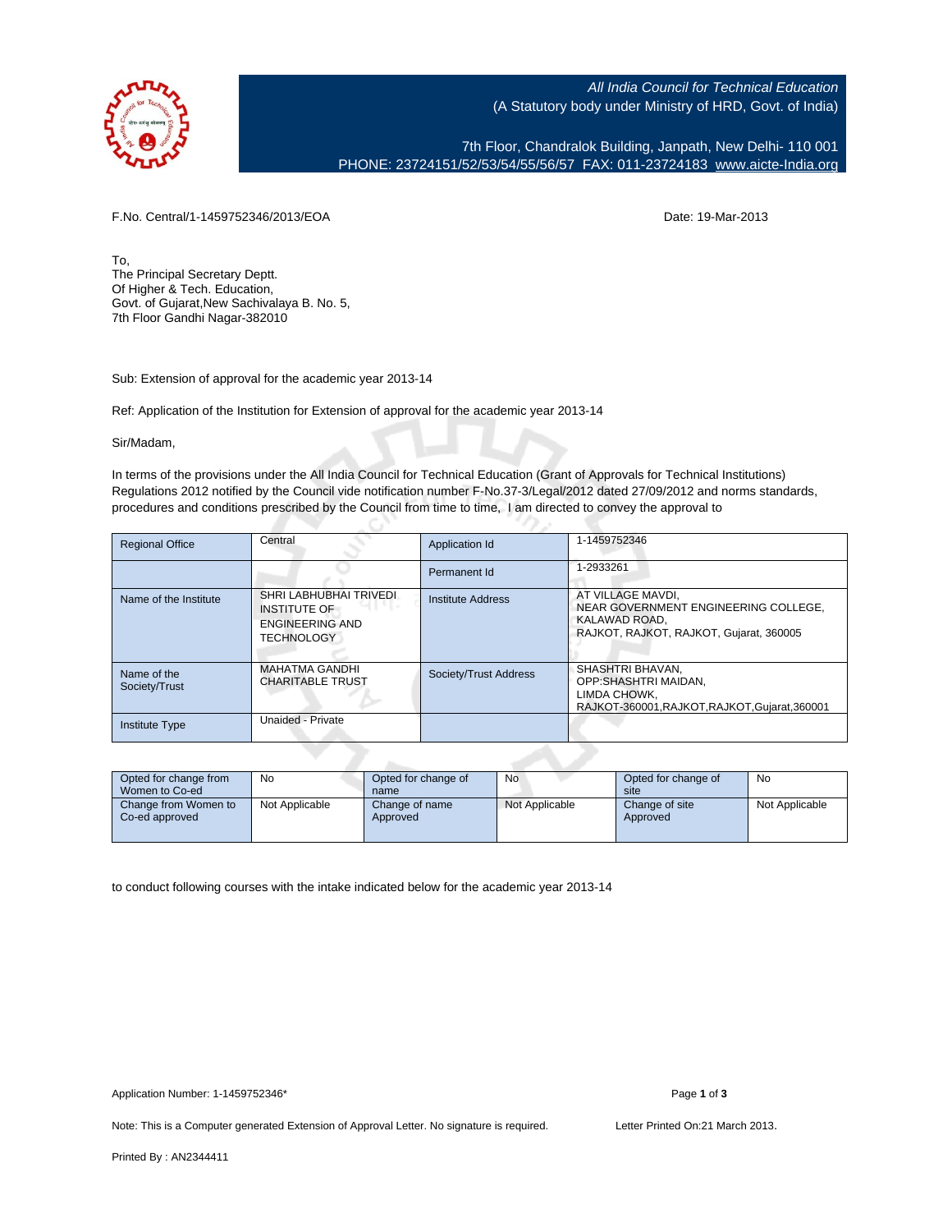

All India Council for Technical Education (A Statutory body under Ministry of HRD, Govt. of India)

7th Floor, Chandralok Building, Janpath, New Delhi- 110 001 PHONE: 23724151/52/53/54/55/56/57 FAX: 011-23724183 [www.aicte-India.org](http://www.aicte-India.org)

F.No. Central/1-1459752346/2013/EOA Date: 19-Mar-2013

To, The Principal Secretary Deptt. Of Higher & Tech. Education, Govt. of Gujarat,New Sachivalaya B. No. 5, 7th Floor Gandhi Nagar-382010

Sub: Extension of approval for the academic year 2013-14

Ref: Application of the Institution for Extension of approval for the academic year 2013-14

c.

Sir/Madam,

In terms of the provisions under the All India Council for Technical Education (Grant of Approvals for Technical Institutions) Regulations 2012 notified by the Council vide notification number F-No.37-3/Legal/2012 dated 27/09/2012 and norms standards, procedures and conditions prescribed by the Council from time to time, I am directed to convey the approval to

| <b>Regional Office</b>       | Central                                                                                      | <b>Application Id</b> | 1-1459752346                                                                                                          |
|------------------------------|----------------------------------------------------------------------------------------------|-----------------------|-----------------------------------------------------------------------------------------------------------------------|
|                              |                                                                                              | Permanent Id          | 1-2933261                                                                                                             |
| Name of the Institute        | SHRI LABHUBHAI TRIVEDI<br><b>INSTITUTE OF</b><br><b>ENGINEERING AND</b><br><b>TECHNOLOGY</b> | Institute Address     | AT VILLAGE MAVDI,<br>NEAR GOVERNMENT ENGINEERING COLLEGE.<br>KALAWAD ROAD.<br>RAJKOT, RAJKOT, RAJKOT, Gujarat, 360005 |
| Name of the<br>Society/Trust | <b>MAHATMA GANDHI</b><br><b>CHARITABLE TRUST</b>                                             | Society/Trust Address | SHASHTRI BHAVAN.<br>OPP:SHASHTRI MAIDAN.<br>LIMDA CHOWK.<br>RAJKOT-360001.RAJKOT.RAJKOT.Gujarat.360001                |
| <b>Institute Type</b>        | Unaided - Private                                                                            |                       |                                                                                                                       |

| Opted for change from<br>Women to Co-ed | No             | Opted for change of<br>name | No             | Opted for change of<br>site | <b>No</b>      |  |
|-----------------------------------------|----------------|-----------------------------|----------------|-----------------------------|----------------|--|
| Change from Women to<br>Co-ed approved  | Not Applicable | Change of name<br>Approved  | Not Applicable | Change of site<br>Approved  | Not Applicable |  |

to conduct following courses with the intake indicated below for the academic year 2013-14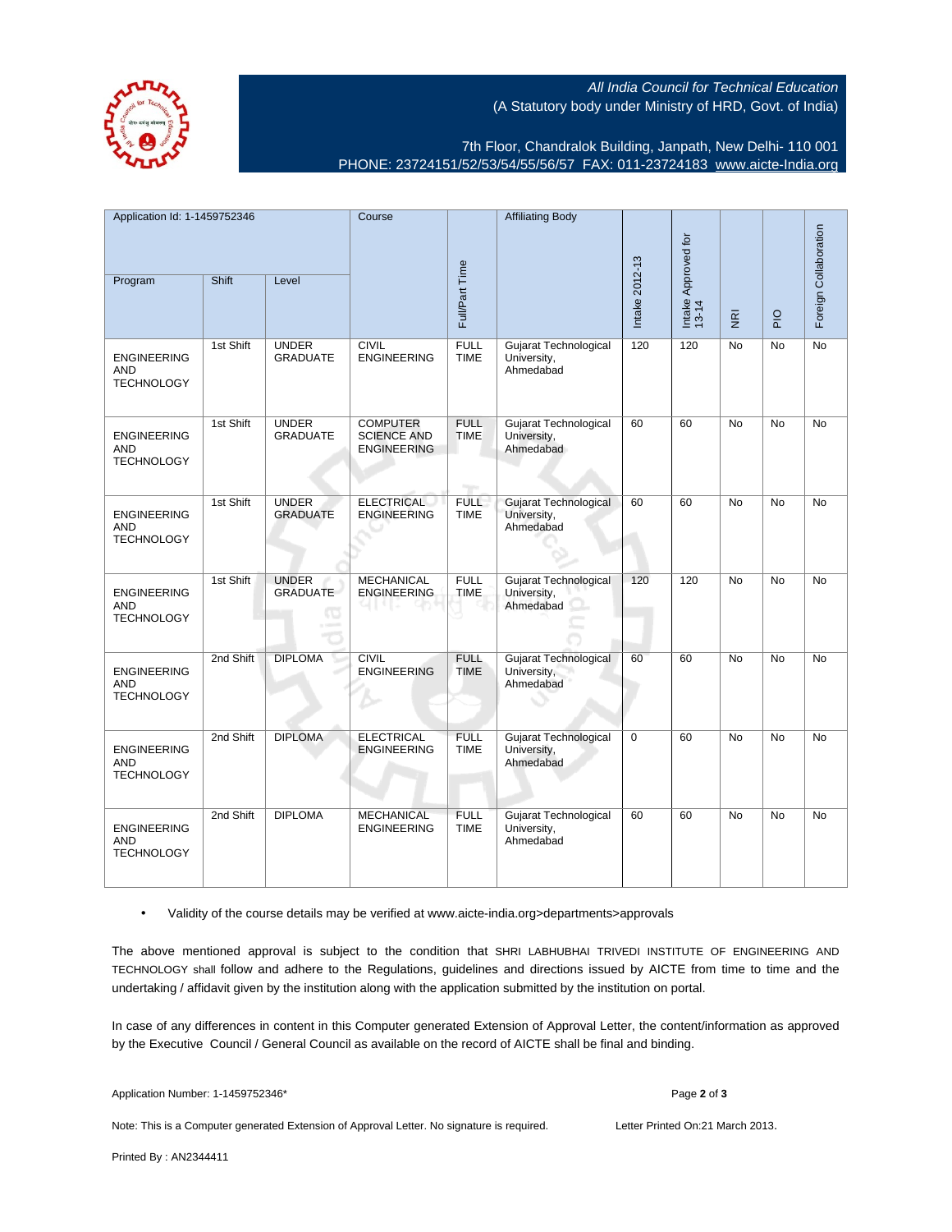All India Council for Technical Education (A Statutory body under Ministry of HRD, Govt. of India)



7th Floor, Chandralok Building, Janpath, New Delhi- 110 001 PHONE: 23724151/52/53/54/55/56/57 FAX: 011-23724183 [www.aicte-India.org](http://www.aicte-India.org)

| Application Id: 1-1459752346                          |           |                                       | Course                                                      |                            | <b>Affiliating Body</b>                                  | Intake 2012-13 |                              |                         |             | Foreign Collaboration |
|-------------------------------------------------------|-----------|---------------------------------------|-------------------------------------------------------------|----------------------------|----------------------------------------------------------|----------------|------------------------------|-------------------------|-------------|-----------------------|
| Program                                               | Shift     | Level                                 | Full/Part Time                                              |                            |                                                          |                | Intake Approved for<br>13-14 | $\overline{\mathbf{g}}$ | $rac{Q}{P}$ |                       |
| <b>ENGINEERING</b><br><b>AND</b><br><b>TECHNOLOGY</b> | 1st Shift | <b>UNDER</b><br><b>GRADUATE</b>       | <b>CIVIL</b><br><b>ENGINEERING</b>                          | <b>FULL</b><br><b>TIME</b> | Gujarat Technological<br>University,<br>Ahmedabad        | 120            | 120                          | No                      | No          | No                    |
| <b>ENGINEERING</b><br><b>AND</b><br><b>TECHNOLOGY</b> | 1st Shift | <b>UNDER</b><br><b>GRADUATE</b>       | <b>COMPUTER</b><br><b>SCIENCE AND</b><br><b>ENGINEERING</b> | <b>FULL</b><br><b>TIME</b> | Gujarat Technological<br>University,<br>Ahmedabad        | 60             | 60                           | No                      | No          | No                    |
| <b>ENGINEERING</b><br><b>AND</b><br><b>TECHNOLOGY</b> | 1st Shift | <b>UNDER</b><br><b>GRADUATE</b>       | <b>ELECTRICAL</b><br><b>ENGINEERING</b>                     | <b>FULL</b><br><b>TIME</b> | <b>Gujarat Technological</b><br>University,<br>Ahmedabad | 60             | 60                           | No                      | No          | No                    |
| <b>ENGINEERING</b><br><b>AND</b><br><b>TECHNOLOGY</b> | 1st Shift | <b>UNDER</b><br>GRADUATE<br><b>IO</b> | <b>MECHANICAL</b><br><b>ENGINEERING</b>                     | <b>FULL</b><br><b>TIME</b> | Gujarat Technological<br>University,<br>Ahmedabad        | 120            | 120                          | No                      | No          | No                    |
| <b>ENGINEERING</b><br><b>AND</b><br><b>TECHNOLOGY</b> | 2nd Shift | <b>DIPLOMA</b>                        | <b>CIVIL</b><br><b>ENGINEERING</b>                          | <b>FULL</b><br><b>TIME</b> | <b>Gujarat Technological</b><br>University,<br>Ahmedabad | 60             | 60                           | <b>No</b>               | <b>No</b>   | No                    |
| <b>ENGINEERING</b><br><b>AND</b><br><b>TECHNOLOGY</b> | 2nd Shift | <b>DIPLOMA</b>                        | <b>ELECTRICAL</b><br><b>ENGINEERING</b>                     | <b>FULL</b><br><b>TIME</b> | Gujarat Technological<br>University,<br>Ahmedabad        | $\mathbf 0$    | 60                           | No                      | No          | No                    |
| <b>ENGINEERING</b><br><b>AND</b><br><b>TECHNOLOGY</b> | 2nd Shift | <b>DIPLOMA</b>                        | <b>MECHANICAL</b><br><b>ENGINEERING</b>                     | <b>FULL</b><br><b>TIME</b> | Gujarat Technological<br>University,<br>Ahmedabad        | 60             | 60                           | <b>No</b>               | <b>No</b>   | <b>No</b>             |

• Validity of the course details may be verified at www.aicte-india.org>departments>approvals

The above mentioned approval is subject to the condition that SHRI LABHUBHAI TRIVEDI INSTITUTE OF ENGINEERING AND TECHNOLOGY shall follow and adhere to the Regulations, guidelines and directions issued by AICTE from time to time and the undertaking / affidavit given by the institution along with the application submitted by the institution on portal.

In case of any differences in content in this Computer generated Extension of Approval Letter, the content/information as approved by the Executive Council / General Council as available on the record of AICTE shall be final and binding.

| Application Number: 1-1459752346* | Page 2 of 3 |
|-----------------------------------|-------------|
|-----------------------------------|-------------|

Note: This is a Computer generated Extension of Approval Letter. No signature is required. Letter Printed On:21 March 2013.